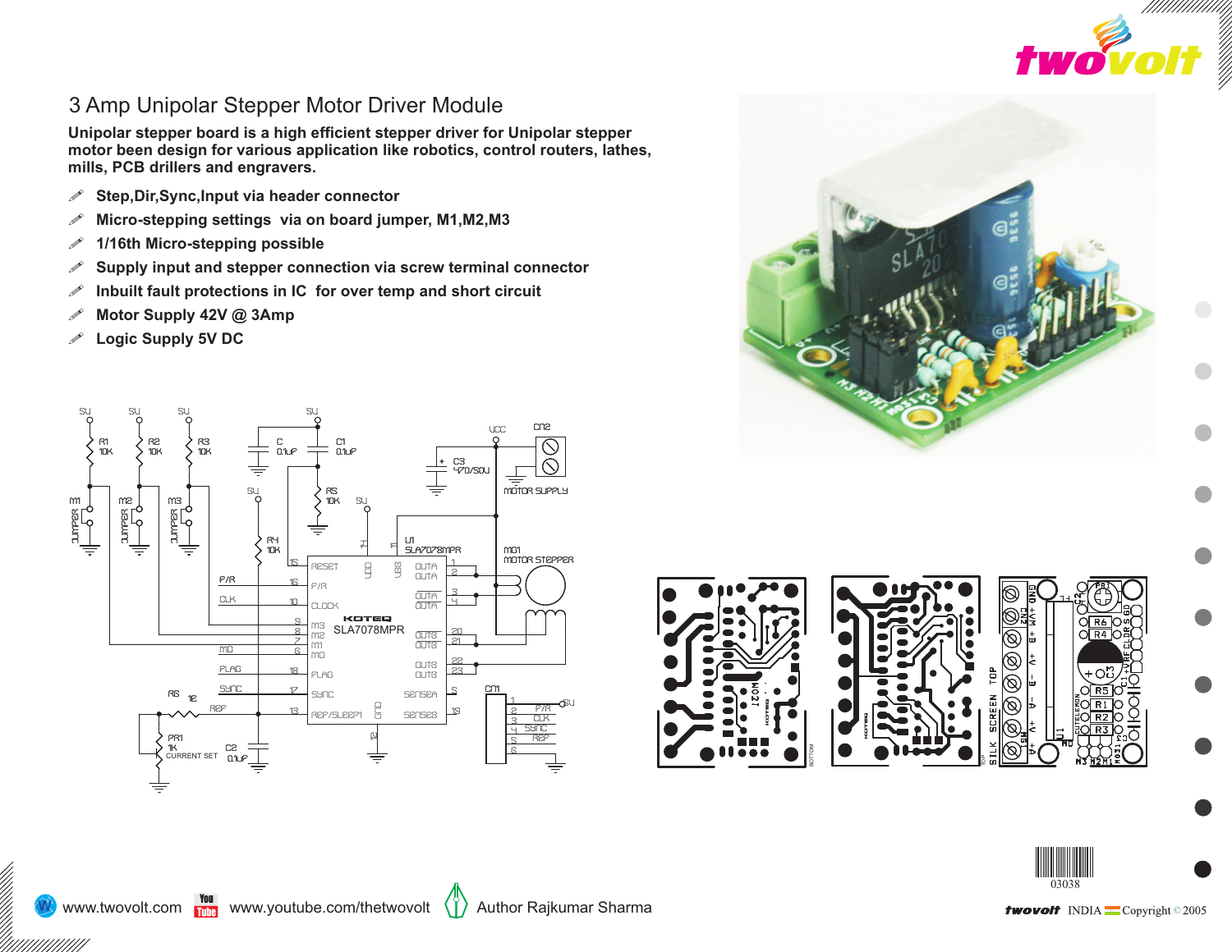

## 3 Amp Unipolar Stepper Motor Driver Module

**Unipolar stepper board is a high efficient stepper driver for Unipolar stepper motor been design for various application like robotics, control routers, lathes, mills, PCB drillers and engravers.** 

- ! **Step,Dir,Sync,Input via header connector**
- ! **Micro-stepping settings via on board jumper, M1,M2,M3**
- ! **1/16th Micro-stepping possible**
- ! **Supply input and stepper connection via screw terminal connector**
- ! **Inbuilt fault protections in IC for over temp and short circuit**
- ! **Motor Supply 42V @ 3Amp**
- ! **Logic Supply 5V DC**







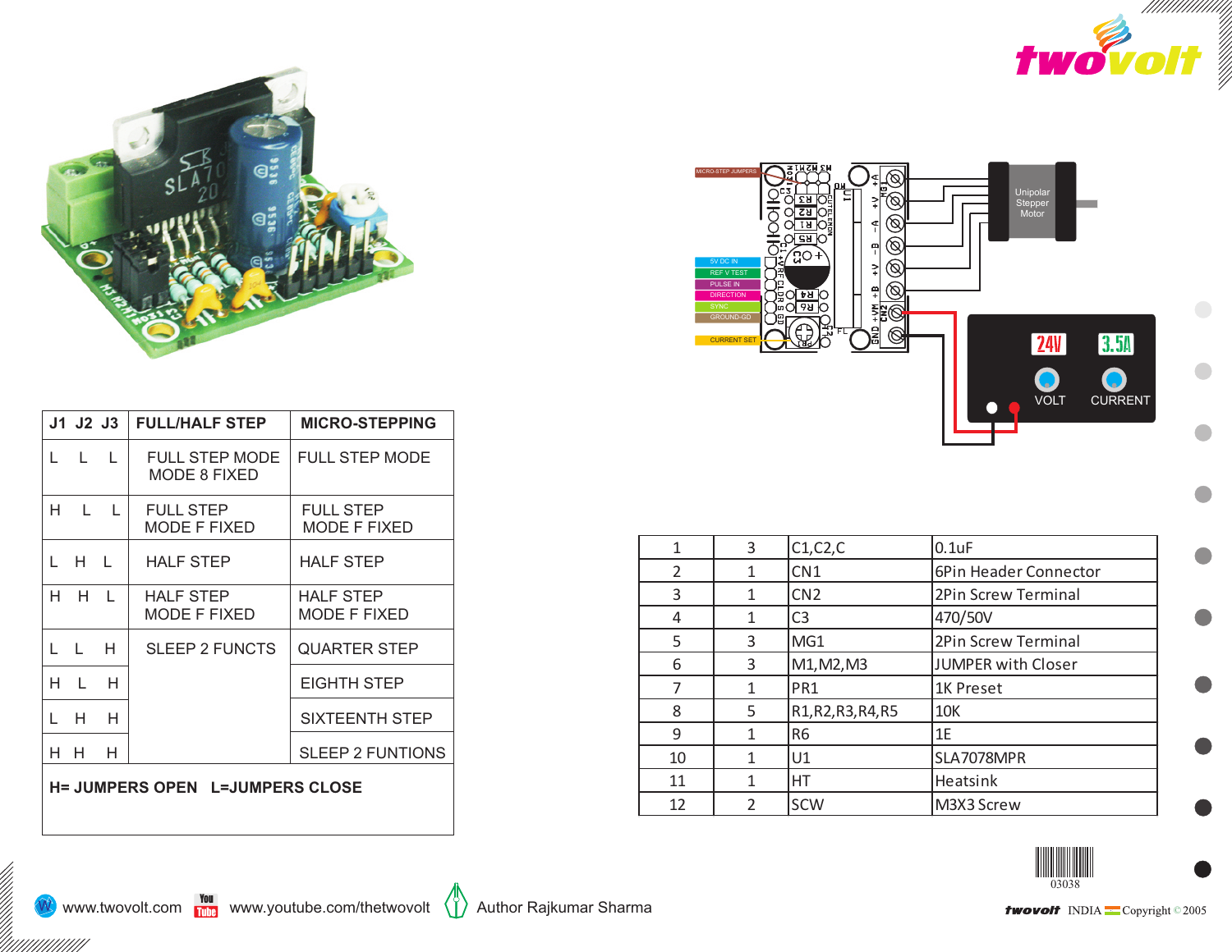



|                                             | J1 J2 J3                          |              | <b>FULL/HALF STEP</b>                 | <b>MICRO-STEPPING</b>                   |
|---------------------------------------------|-----------------------------------|--------------|---------------------------------------|-----------------------------------------|
|                                             | $L = L = L$                       |              | <b>FULL STEP MODE</b><br>MODE 8 FIXED | <b>FULL STEP MODE</b>                   |
| H.                                          | <b>Contract Contract Contract</b> |              | <b>FULL STEP</b><br>MODE F FIXED      | <b>FULL STEP</b><br><b>MODE F FIXED</b> |
|                                             | LHL                               |              | <b>HALF STEP</b>                      | <b>HALF STEP</b>                        |
| H.                                          | H.                                | $\mathbf{1}$ | <b>HALF STEP</b><br>MODE F FIXED      | <b>HALF STEP</b><br>MODE F FIXED        |
|                                             | L L H                             |              | SLEEP 2 FUNCTS                        | QUARTER STEP                            |
| н                                           | $\perp$                           | н            |                                       | EIGHTH STEP                             |
|                                             | Н                                 | н            |                                       | SIXTEENTH STEP                          |
| H.                                          | H.                                | H            |                                       | <b>SLEEP 2 FUNTIONS</b>                 |
| $U$ = ILIMPEDS ODEN $I = I$ ILIMPEDS OF OSE |                                   |              |                                       |                                         |

**H= JUMPERS OPEN L=JUMPERS CLOSE**



| 1                        | 3 | C1, C2, C          | $0.1$ u $F$               |
|--------------------------|---|--------------------|---------------------------|
| $\overline{\mathcal{L}}$ | 1 | CN <sub>1</sub>    | 6Pin Header Connector     |
| 3                        | 1 | CN <sub>2</sub>    | 2Pin Screw Terminal       |
| 4                        |   | C <sub>3</sub>     | 470/50V                   |
| 5                        | 3 | MG1                | 2Pin Screw Terminal       |
| 6                        | 3 | M1, M2, M3         | <b>JUMPER with Closer</b> |
|                          |   | PR <sub>1</sub>    | 1K Preset                 |
| 8                        | 5 | R1, R2, R3, R4, R5 | 10K                       |
| 9                        |   | R <sub>6</sub>     | 1E                        |
| 10                       |   | U1                 | SLA7078MPR                |
| 11                       |   | НT                 | Heatsink                  |
| 12                       | C | <b>SCW</b>         | M3X3 Screw                |